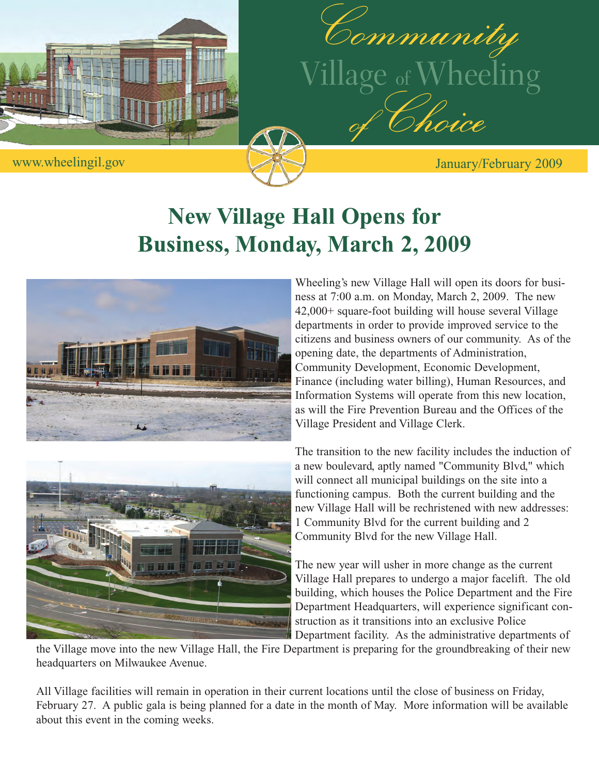



## **New Village Hall Opens for Business, Monday, March 2, 2009**





Wheeling's new Village Hall will open its doors for business at 7:00 a.m. on Monday, March 2, 2009. The new 42,000+ square-foot building will house several Village departments in order to provide improved service to the citizens and business owners of our community. As of the opening date, the departments of Administration, Community Development, Economic Development, Finance (including water billing), Human Resources, and Information Systems will operate from this new location, as will the Fire Prevention Bureau and the Offices of the Village President and Village Clerk.

The transition to the new facility includes the induction of a new boulevard, aptly named "Community Blvd," which will connect all municipal buildings on the site into a functioning campus. Both the current building and the new Village Hall will be rechristened with new addresses: 1 Community Blvd for the current building and 2 Community Blvd for the new Village Hall.

The new year will usher in more change as the current Village Hall prepares to undergo a major facelift. The old building, which houses the Police Department and the Fire Department Headquarters, will experience significant construction as it transitions into an exclusive Police Department facility. As the administrative departments of

the Village move into the new Village Hall, the Fire Department is preparing for the groundbreaking of their new headquarters on Milwaukee Avenue.

All Village facilities will remain in operation in their current locations until the close of business on Friday, February 27. A public gala is being planned for a date in the month of May. More information will be available about this event in the coming weeks.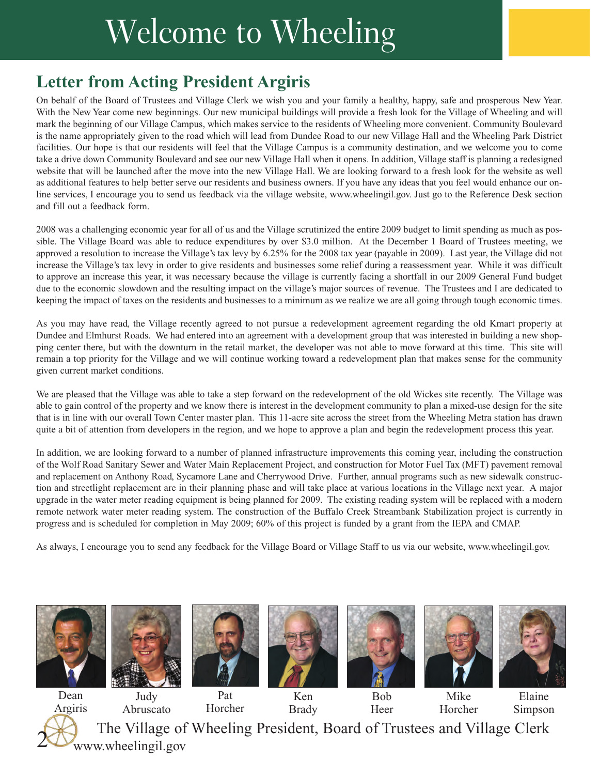# Welcome to Wheeling

### **Letter from Acting President Argiris**

On behalf of the Board of Trustees and Village Clerk we wish you and your family a healthy, happy, safe and prosperous New Year. With the New Year come new beginnings. Our new municipal buildings will provide a fresh look for the Village of Wheeling and will mark the beginning of our Village Campus, which makes service to the residents of Wheeling more convenient. Community Boulevard is the name appropriately given to the road which will lead from Dundee Road to our new Village Hall and the Wheeling Park District facilities. Our hope is that our residents will feel that the Village Campus is a community destination, and we welcome you to come take a drive down Community Boulevard and see our new Village Hall when it opens. In addition, Village staff is planning a redesigned website that will be launched after the move into the new Village Hall. We are looking forward to a fresh look for the website as well as additional features to help better serve our residents and business owners. If you have any ideas that you feel would enhance our online services, I encourage you to send us feedback via the village website, www.wheelingil.gov. Just go to the Reference Desk section and fill out a feedback form.

2008 was a challenging economic year for all of us and the Village scrutinized the entire 2009 budget to limit spending as much as possible. The Village Board was able to reduce expenditures by over \$3.0 million. At the December 1 Board of Trustees meeting, we approved a resolution to increase the Village's tax levy by 6.25% for the 2008 tax year (payable in 2009). Last year, the Village did not increase the Village's tax levy in order to give residents and businesses some relief during a reassessment year. While it was difficult to approve an increase this year, it was necessary because the village is currently facing a shortfall in our 2009 General Fund budget due to the economic slowdown and the resulting impact on the village's major sources of revenue. The Trustees and I are dedicated to keeping the impact of taxes on the residents and businesses to a minimum as we realize we are all going through tough economic times.

As you may have read, the Village recently agreed to not pursue a redevelopment agreement regarding the old Kmart property at Dundee and Elmhurst Roads. We had entered into an agreement with a development group that was interested in building a new shopping center there, but with the downturn in the retail market, the developer was not able to move forward at this time. This site will remain a top priority for the Village and we will continue working toward a redevelopment plan that makes sense for the community given current market conditions.

We are pleased that the Village was able to take a step forward on the redevelopment of the old Wickes site recently. The Village was able to gain control of the property and we know there is interest in the development community to plan a mixed-use design for the site that is in line with our overall Town Center master plan. This 11-acre site across the street from the Wheeling Metra station has drawn quite a bit of attention from developers in the region, and we hope to approve a plan and begin the redevelopment process this year.

In addition, we are looking forward to a number of planned infrastructure improvements this coming year, including the construction of the Wolf Road Sanitary Sewer and Water Main Replacement Project, and construction for Motor Fuel Tax (MFT) pavement removal and replacement on Anthony Road, Sycamore Lane and Cherrywood Drive. Further, annual programs such as new sidewalk construction and streetlight replacement are in their planning phase and will take place at various locations in the Village next year. A major upgrade in the water meter reading equipment is being planned for 2009. The existing reading system will be replaced with a modern remote network water meter reading system. The construction of the Buffalo Creek Streambank Stabilization project is currently in progress and is scheduled for completion in May 2009; 60% of this project is funded by a grant from the IEPA and CMAP.

As always, I encourage you to send any feedback for the Village Board or Village Staff to us via our website, www.wheelingil.gov.









Ken Brady



Bob Heer



Mike Horcher



Elaine Simpson

The Village of Wheeling President, Board of Trustees and Village Clerk Judy Abruscato Dean Argiris Pat Horcher 2 www.wheelingil.gov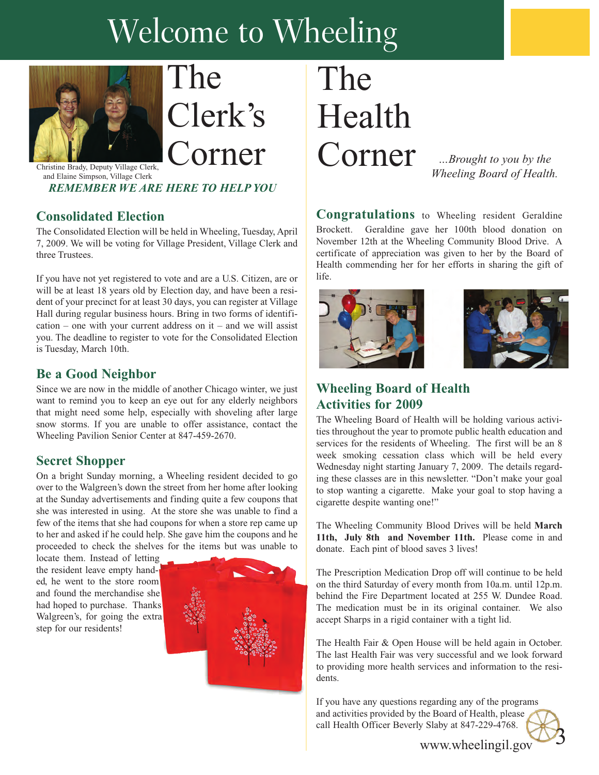# Welcome to Wheeling



The Clerk's Christine Brady, Deputy Village Clerk, **Corner** 

and Elaine Simpson, Village Clerk *REMEMBER WE ARE HERE TO HELP YOU*

#### **Consolidated Election**

The Consolidated Election will be held in Wheeling, Tuesday, April 7, 2009. We will be voting for Village President, Village Clerk and three Trustees.

If you have not yet registered to vote and are a U.S. Citizen, are or will be at least 18 years old by Election day, and have been a resident of your precinct for at least 30 days, you can register at Village Hall during regular business hours. Bring in two forms of identifi $cation - one with your current address on it - and we will assist$ you. The deadline to register to vote for the Consolidated Election is Tuesday, March 10th.

#### **Be a Good Neighbor**

Since we are now in the middle of another Chicago winter, we just want to remind you to keep an eye out for any elderly neighbors that might need some help, especially with shoveling after large snow storms. If you are unable to offer assistance, contact the Wheeling Pavilion Senior Center at 847-459-2670.

#### **Secret Shopper**

On a bright Sunday morning, a Wheeling resident decided to go over to the Walgreen's down the street from her home after looking at the Sunday advertisements and finding quite a few coupons that she was interested in using. At the store she was unable to find a few of the items that she had coupons for when a store rep came up to her and asked if he could help. She gave him the coupons and he proceeded to check the shelves for the items but was unable to

locate them. Instead of letting the resident leave empty handed, he went to the store room and found the merchandise she had hoped to purchase. Thanks Walgreen's, for going the extra step for our residents!



# The Health Corner

*…Brought to you by the Wheeling Board of Health.*

**Congratulations** to Wheeling resident Geraldine Brockett. Geraldine gave her 100th blood donation on November 12th at the Wheeling Community Blood Drive. A certificate of appreciation was given to her by the Board of Health commending her for her efforts in sharing the gift of life.





#### **Wheeling Board of Health Activities for 2009**

The Wheeling Board of Health will be holding various activities throughout the year to promote public health education and services for the residents of Wheeling. The first will be an 8 week smoking cessation class which will be held every Wednesday night starting January 7, 2009. The details regarding these classes are in this newsletter. "Don't make your goal to stop wanting a cigarette. Make your goal to stop having a cigarette despite wanting one!"

The Wheeling Community Blood Drives will be held **March 11th, July 8th and November 11th.** Please come in and donate. Each pint of blood saves 3 lives!

The Prescription Medication Drop off will continue to be held on the third Saturday of every month from 10a.m. until 12p.m. behind the Fire Department located at 255 W. Dundee Road. The medication must be in its original container. We also accept Sharps in a rigid container with a tight lid.

The Health Fair & Open House will be held again in October. The last Health Fair was very successful and we look forward to providing more health services and information to the residents.

If you have any questions regarding any of the programs and activities provided by the Board of Health, please call Health Officer Beverly Slaby at 847-229-4768.

www.wheelingil.gov

3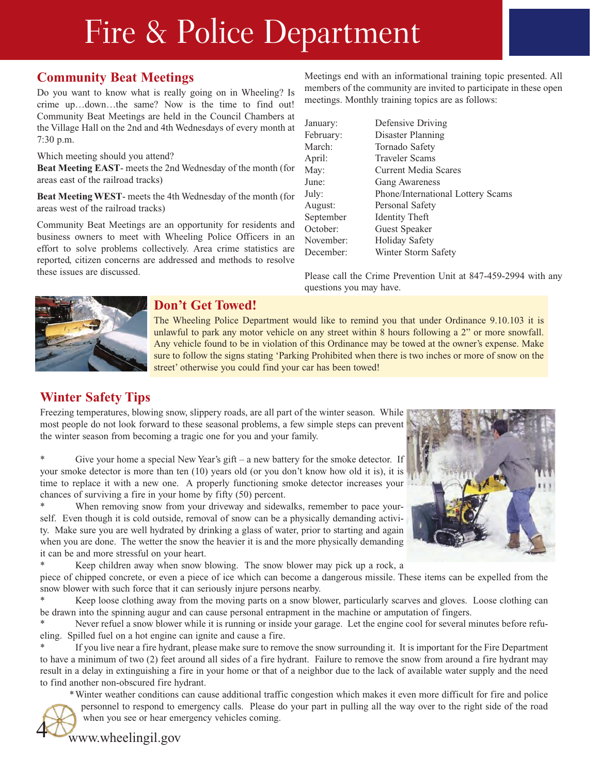# Fire & Police Department

#### **Community Beat Meetings**

Do you want to know what is really going on in Wheeling? Is crime up…down…the same? Now is the time to find out! Community Beat Meetings are held in the Council Chambers at the Village Hall on the 2nd and 4th Wednesdays of every month at 7:30 p.m.

Which meeting should you attend?

**Beat Meeting EAST**- meets the 2nd Wednesday of the month (for areas east of the railroad tracks)

**Beat Meeting WEST**- meets the 4th Wednesday of the month (for areas west of the railroad tracks)

Community Beat Meetings are an opportunity for residents and business owners to meet with Wheeling Police Officers in an effort to solve problems collectively. Area crime statistics are reported, citizen concerns are addressed and methods to resolve these issues are discussed.

Meetings end with an informational training topic presented. All members of the community are invited to participate in these open meetings. Monthly training topics are as follows:

| January:  | Defensive Driving                 |
|-----------|-----------------------------------|
| February: | Disaster Planning                 |
| March:    | Tornado Safety                    |
| April:    | Traveler Scams                    |
| May:      | Current Media Scares              |
| June:     | <b>Gang Awareness</b>             |
| July:     | Phone/International Lottery Scams |
| August:   | Personal Safety                   |
| September | <b>Identity Theft</b>             |
| October:  | Guest Speaker                     |
| November: | <b>Holiday Safety</b>             |
| December: | Winter Storm Safety               |

Please call the Crime Prevention Unit at 847-459-2994 with any questions you may have.



#### **Don't Get Towed!**

The Wheeling Police Department would like to remind you that under Ordinance 9.10.103 it is unlawful to park any motor vehicle on any street within 8 hours following a 2" or more snowfall. Any vehicle found to be in violation of this Ordinance may be towed at the owner's expense. Make sure to follow the signs stating 'Parking Prohibited when there is two inches or more of snow on the street' otherwise you could find your car has been towed!

#### **Winter Safety Tips**

Freezing temperatures, blowing snow, slippery roads, are all part of the winter season. While most people do not look forward to these seasonal problems, a few simple steps can prevent the winter season from becoming a tragic one for you and your family.

\* Give your home a special New Year's gift – a new battery for the smoke detector. If your smoke detector is more than ten (10) years old (or you don't know how old it is), it is time to replace it with a new one. A properly functioning smoke detector increases your chances of surviving a fire in your home by fifty (50) percent.

When removing snow from your driveway and sidewalks, remember to pace yourself. Even though it is cold outside, removal of snow can be a physically demanding activity. Make sure you are well hydrated by drinking a glass of water, prior to starting and again when you are done. The wetter the snow the heavier it is and the more physically demanding it can be and more stressful on your heart.

\* Keep children away when snow blowing. The snow blower may pick up a rock, a

piece of chipped concrete, or even a piece of ice which can become a dangerous missile. These items can be expelled from the snow blower with such force that it can seriously injure persons nearby.

\* Keep loose clothing away from the moving parts on a snow blower, particularly scarves and gloves. Loose clothing can be drawn into the spinning augur and can cause personal entrapment in the machine or amputation of fingers.

Never refuel a snow blower while it is running or inside your garage. Let the engine cool for several minutes before refueling. Spilled fuel on a hot engine can ignite and cause a fire.

\* If you live near a fire hydrant, please make sure to remove the snow surrounding it. It is important for the Fire Department to have a minimum of two (2) feet around all sides of a fire hydrant. Failure to remove the snow from around a fire hydrant may result in a delay in extinguishing a fire in your home or that of a neighbor due to the lack of available water supply and the need to find another non-obscured fire hydrant.

\*Winter weather conditions can cause additional traffic congestion which makes it even more difficult for fire and police personnel to respond to emergency calls. Please do your part in pulling all the way over to the right side of the road

4



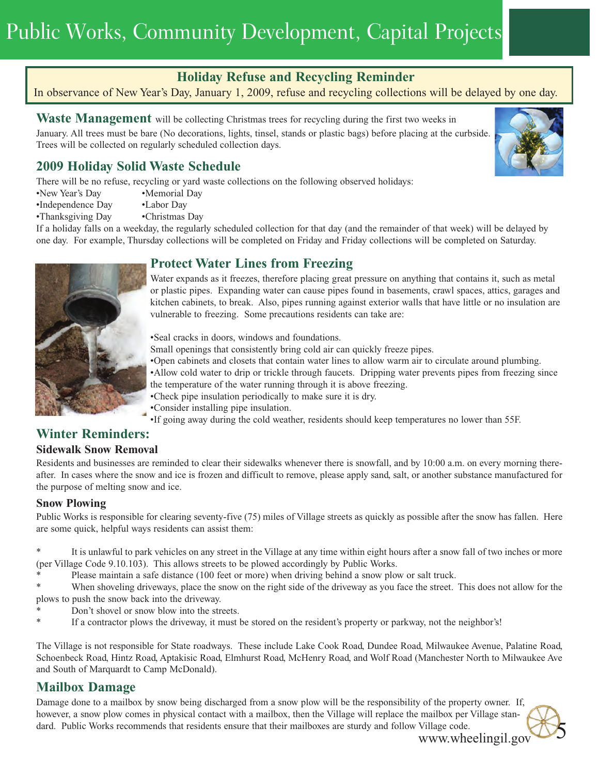## Public Works, Community Development, Capital Projects

#### **Holiday Refuse and Recycling Reminder**

#### In observance of New Year's Day, January 1, 2009, refuse and recycling collections will be delayed by one day.

Waste Management will be collecting Christmas trees for recycling during the first two weeks in

January. All trees must be bare (No decorations, lights, tinsel, stands or plastic bags) before placing at the curbside. Trees will be collected on regularly scheduled collection days.

#### **2009 Holiday Solid Waste Schedule**

There will be no refuse, recycling or yard waste collections on the following observed holidays:

- •New Year's Day •Memorial Day
- •Independence Day •Labor Day
- •Thanksgiving Day Christmas Day

If a holiday falls on a weekday, the regularly scheduled collection for that day (and the remainder of that week) will be delayed by one day. For example, Thursday collections will be completed on Friday and Friday collections will be completed on Saturday.

#### **Protect Water Lines from Freezing**

Water expands as it freezes, therefore placing great pressure on anything that contains it, such as metal or plastic pipes. Expanding water can cause pipes found in basements, crawl spaces, attics, garages and kitchen cabinets, to break. Also, pipes running against exterior walls that have little or no insulation are vulnerable to freezing. Some precautions residents can take are:

•Seal cracks in doors, windows and foundations.

Small openings that consistently bring cold air can quickly freeze pipes.

•Open cabinets and closets that contain water lines to allow warm air to circulate around plumbing.

•Allow cold water to drip or trickle through faucets. Dripping water prevents pipes from freezing since the temperature of the water running through it is above freezing.

•Check pipe insulation periodically to make sure it is dry.

•Consider installing pipe insulation.

•If going away during the cold weather, residents should keep temperatures no lower than 55F.

#### **Winter Reminders:**

#### **Sidewalk Snow Removal**

Residents and businesses are reminded to clear their sidewalks whenever there is snowfall, and by 10:00 a.m. on every morning thereafter. In cases where the snow and ice is frozen and difficult to remove, please apply sand, salt, or another substance manufactured for the purpose of melting snow and ice.

#### **Snow Plowing**

Public Works is responsible for clearing seventy-five (75) miles of Village streets as quickly as possible after the snow has fallen. Here are some quick, helpful ways residents can assist them:

It is unlawful to park vehicles on any street in the Village at any time within eight hours after a snow fall of two inches or more (per Village Code 9.10.103). This allows streets to be plowed accordingly by Public Works.

Please maintain a safe distance (100 feet or more) when driving behind a snow plow or salt truck.

\* When shoveling driveways, place the snow on the right side of the driveway as you face the street. This does not allow for the plows to push the snow back into the driveway.

- Don't shovel or snow blow into the streets.
- If a contractor plows the driveway, it must be stored on the resident's property or parkway, not the neighbor's!

The Village is not responsible for State roadways. These include Lake Cook Road, Dundee Road, Milwaukee Avenue, Palatine Road, Schoenbeck Road, Hintz Road, Aptakisic Road, Elmhurst Road, McHenry Road, and Wolf Road (Manchester North to Milwaukee Ave and South of Marquardt to Camp McDonald).

#### **Mailbox Damage**

Damage done to a mailbox by snow being discharged from a snow plow will be the responsibility of the property owner. If, however, a snow plow comes in physical contact with a mailbox, then the Village will replace the mailbox per Village standard. Public Works recommends that residents ensure that their mailboxes are sturdy and follow Village code.

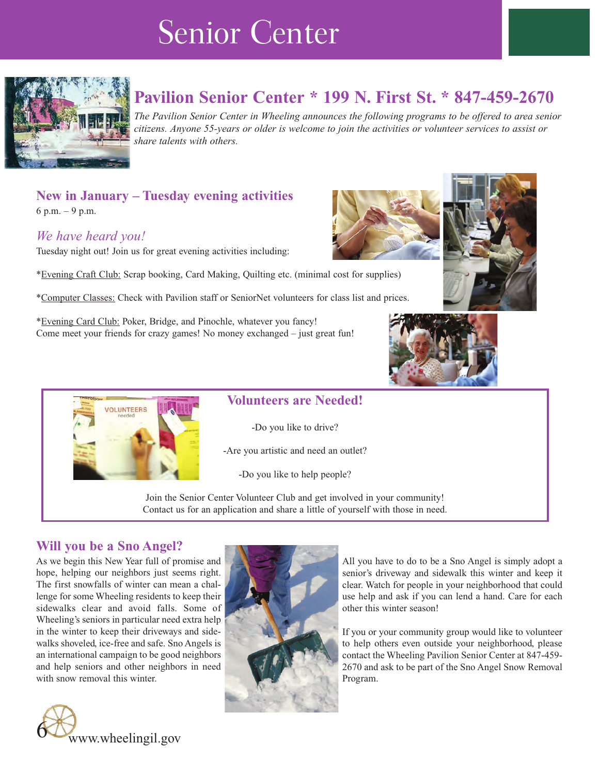## Senior Center



### **Pavilion Senior Center \* 199 N. First St. \* 847-459-2670**

*The Pavilion Senior Center in Wheeling announces the following programs to be offered to area senior citizens. Anyone 55-years or older is welcome to join the activities or volunteer services to assist or share talents with others.*

### **New in January – Tuesday evening activities**

6 p.m. – 9 p.m.

#### *We have heard you!*

Tuesday night out! Join us for great evening activities including:

\*Evening Craft Club: Scrap booking, Card Making, Quilting etc. (minimal cost for supplies)

\*Computer Classes: Check with Pavilion staff or SeniorNet volunteers for class list and prices.

\*Evening Card Club: Poker, Bridge, and Pinochle, whatever you fancy! Come meet your friends for crazy games! No money exchanged – just great fun!







#### **Volunteers are Needed!**

-Do you like to drive?

-Are you artistic and need an outlet?

-Do you like to help people?

Join the Senior Center Volunteer Club and get involved in your community! Contact us for an application and share a little of yourself with those in need.

#### **Will you be a Sno Angel?**

As we begin this New Year full of promise and hope, helping our neighbors just seems right. The first snowfalls of winter can mean a challenge for some Wheeling residents to keep their sidewalks clear and avoid falls. Some of Wheeling's seniors in particular need extra help in the winter to keep their driveways and sidewalks shoveled, ice-free and safe. Sno Angels is an international campaign to be good neighbors and help seniors and other neighbors in need with snow removal this winter.





All you have to do to be a Sno Angel is simply adopt a senior's driveway and sidewalk this winter and keep it clear. Watch for people in your neighborhood that could use help and ask if you can lend a hand. Care for each other this winter season!

If you or your community group would like to volunteer to help others even outside your neighborhood, please contact the Wheeling Pavilion Senior Center at 847-459- 2670 and ask to be part of the Sno Angel Snow Removal Program.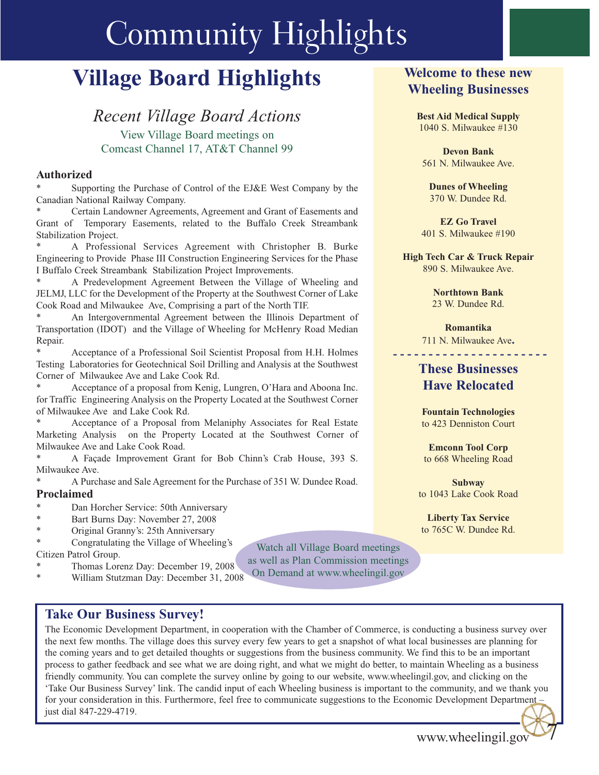# Community Highlights

## **Village Board Highlights**

#### *Recent Village Board Actions* View Village Board meetings on Comcast Channel 17, AT&T Channel 99

#### **Authorized**

Supporting the Purchase of Control of the EJ&E West Company by the Canadian National Railway Company.

Certain Landowner Agreements, Agreement and Grant of Easements and Grant of Temporary Easements, related to the Buffalo Creek Streambank Stabilization Project.

A Professional Services Agreement with Christopher B. Burke Engineering to Provide Phase III Construction Engineering Services for the Phase I Buffalo Creek Streambank Stabilization Project Improvements.

A Predevelopment Agreement Between the Village of Wheeling and JELMJ, LLC for the Development of the Property at the Southwest Corner of Lake Cook Road and Milwaukee Ave, Comprising a part of the North TIF.

An Intergovernmental Agreement between the Illinois Department of Transportation (IDOT) and the Village of Wheeling for McHenry Road Median Repair.

Acceptance of a Professional Soil Scientist Proposal from H.H. Holmes Testing Laboratories for Geotechnical Soil Drilling and Analysis at the Southwest Corner of Milwaukee Ave and Lake Cook Rd.

Acceptance of a proposal from Kenig, Lungren, O'Hara and Aboona Inc. for Traffic Engineering Analysis on the Property Located at the Southwest Corner of Milwaukee Ave and Lake Cook Rd.

Acceptance of a Proposal from Melaniphy Associates for Real Estate Marketing Analysis on the Property Located at the Southwest Corner of Milwaukee Ave and Lake Cook Road.

A Façade Improvement Grant for Bob Chinn's Crab House, 393 S. Milwaukee Ave.

A Purchase and Sale Agreement for the Purchase of 351 W. Dundee Road. **Proclaimed**

- Dan Horcher Service: 50th Anniversary
- Bart Burns Day: November 27, 2008
- Original Granny's: 25th Anniversary

Congratulating the Village of Wheeling's Citizen Patrol Group.

- Thomas Lorenz Day: December 19, 2008
- William Stutzman Day: December 31, 2008

**Welcome to these new Wheeling Businesses**

**Best Aid Medical Supply** 1040 S. Milwaukee #130

**Devon Bank** 561 N. Milwaukee Ave.

**Dunes of Wheeling** 370 W. Dundee Rd.

**EZ Go Travel** 401 S. Milwaukee #190

**High Tech Car & Truck Repair**  890 S. Milwaukee Ave.

> **Northtown Bank** 23 W. Dundee Rd.

**Romantika**  711 N. Milwaukee Ave**.**

**- - - - - - - - - - - - - - - - - - - - - -**

#### **These Businesses Have Relocated**

**Fountain Technologies** to 423 Denniston Court

**Emconn Tool Corp** to 668 Wheeling Road

**Subway**  to 1043 Lake Cook Road

**Liberty Tax Service**  to 765C W. Dundee Rd.

#### **Take Our Business Survey!**

The Economic Development Department, in cooperation with the Chamber of Commerce, is conducting a business survey over the next few months. The village does this survey every few years to get a snapshot of what local businesses are planning for the coming years and to get detailed thoughts or suggestions from the business community. We find this to be an important process to gather feedback and see what we are doing right, and what we might do better, to maintain Wheeling as a business friendly community. You can complete the survey online by going to our website, www.wheelingil.gov, and clicking on the 'Take Our Business Survey' link. The candid input of each Wheeling business is important to the community, and we thank you for your consideration in this. Furthermore, feel free to communicate suggestions to the Economic Development Department just dial 847-229-4719.

Watch all Village Board meetings as well as Plan Commission meetings On Demand at www.wheelingil.gov

www.wheelingil.gov

7